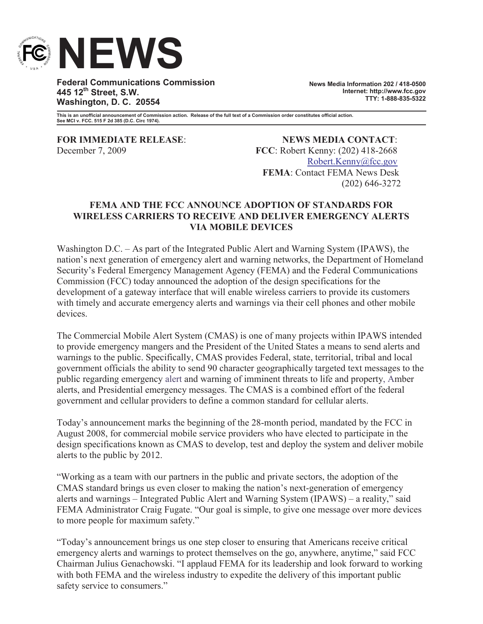

**Federal Communications Commission 445 12th Street, S.W. Washington, D. C. 20554**

**News Media Information 202 / 418-0500 Internet: http://www.fcc.gov TTY: 1-888-835-5322**

**This is an unofficial announcement of Commission action. Release of the full text of a Commission order constitutes official action. See MCI v. FCC. 515 F 2d 385 (D.C. Circ 1974).**

**FOR IMMEDIATE RELEASE**: **NEWS MEDIA CONTACT**: December 7, 2009 **FCC**: Robert Kenny: (202) 418-2668 Robert.Kenny@fcc.gov **FEMA**: Contact FEMA News Desk (202) 646-3272

## **FEMA AND THE FCC ANNOUNCE ADOPTION OF STANDARDS FOR WIRELESS CARRIERS TO RECEIVE AND DELIVER EMERGENCY ALERTS VIA MOBILE DEVICES**

Washington D.C. – As part of the Integrated Public Alert and Warning System (IPAWS), the nation's next generation of emergency alert and warning networks, the Department of Homeland Security's Federal Emergency Management Agency (FEMA) and the Federal Communications Commission (FCC) today announced the adoption of the design specifications for the development of a gateway interface that will enable wireless carriers to provide its customers with timely and accurate emergency alerts and warnings via their cell phones and other mobile devices.

The Commercial Mobile Alert System (CMAS) is one of many projects within IPAWS intended to provide emergency mangers and the President of the United States a means to send alerts and warnings to the public. Specifically, CMAS provides Federal, state, territorial, tribal and local government officials the ability to send 90 character geographically targeted text messages to the public regarding emergency alert and warning of imminent threats to life and property, Amber alerts, and Presidential emergency messages. The CMAS is a combined effort of the federal government and cellular providers to define a common standard for cellular alerts.

Today's announcement marks the beginning of the 28-month period, mandated by the FCC in August 2008, for commercial mobile service providers who have elected to participate in the design specifications known as CMAS to develop, test and deploy the system and deliver mobile alerts to the public by 2012.

"Working as a team with our partners in the public and private sectors, the adoption of the CMAS standard brings us even closer to making the nation's next-generation of emergency alerts and warnings – Integrated Public Alert and Warning System (IPAWS) – a reality," said FEMA Administrator Craig Fugate. "Our goal is simple, to give one message over more devices to more people for maximum safety."

"Today's announcement brings us one step closer to ensuring that Americans receive critical emergency alerts and warnings to protect themselves on the go, anywhere, anytime," said FCC Chairman Julius Genachowski. "I applaud FEMA for its leadership and look forward to working with both FEMA and the wireless industry to expedite the delivery of this important public safety service to consumers."